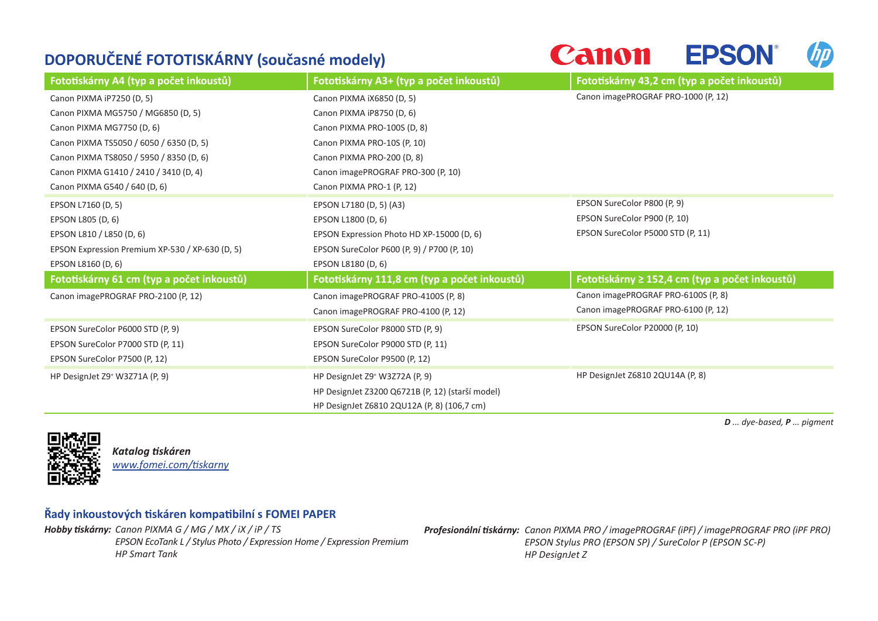## **DOPORUČENÉ FOTOTISKÁRNY (současné modely)**



| Fototiskárny A4 (typ a počet inkoustů)          | Fototiskárny A3+ (typ a počet inkoustů)          | Fototiskárny 43,2 cm (typ a počet inkoustů)    |
|-------------------------------------------------|--------------------------------------------------|------------------------------------------------|
| Canon PIXMA iP7250 (D, 5)                       | Canon PIXMA iX6850 (D, 5)                        | Canon imagePROGRAF PRO-1000 (P, 12)            |
| Canon PIXMA MG5750 / MG6850 (D, 5)              | Canon PIXMA iP8750 (D, 6)                        |                                                |
| Canon PIXMA MG7750 (D, 6)                       | Canon PIXMA PRO-100S (D, 8)                      |                                                |
| Canon PIXMA TS5050 / 6050 / 6350 (D, 5)         | Canon PIXMA PRO-10S (P, 10)                      |                                                |
| Canon PIXMA TS8050 / 5950 / 8350 (D, 6)         | Canon PIXMA PRO-200 (D, 8)                       |                                                |
| Canon PIXMA G1410 / 2410 / 3410 (D, 4)          | Canon imagePROGRAF PRO-300 (P, 10)               |                                                |
| Canon PIXMA G540 / 640 (D, 6)                   | Canon PIXMA PRO-1 (P, 12)                        |                                                |
| EPSON L7160 (D, 5)                              | EPSON L7180 (D, 5) (A3)                          | EPSON SureColor P800 (P, 9)                    |
| EPSON L805 (D, 6)                               | EPSON L1800 (D, 6)                               | EPSON SureColor P900 (P, 10)                   |
| EPSON L810 / L850 (D, 6)                        | EPSON Expression Photo HD XP-15000 (D, 6)        | EPSON SureColor P5000 STD (P, 11)              |
| EPSON Expression Premium XP-530 / XP-630 (D, 5) | EPSON SureColor P600 (P, 9) / P700 (P, 10)       |                                                |
| EPSON L8160 (D, 6)                              | EPSON L8180 (D, 6)                               |                                                |
| Fototiskárny 61 cm (typ a počet inkoustů)       | Fototiskárny 111,8 cm (typ a počet inkoustů)     | Fototiskárny ≥ 152,4 cm (typ a počet inkoustů) |
| Canon imagePROGRAF PRO-2100 (P, 12)             | Canon imagePROGRAF PRO-4100S (P, 8)              | Canon imagePROGRAF PRO-6100S (P, 8)            |
|                                                 | Canon imagePROGRAF PRO-4100 (P, 12)              | Canon imagePROGRAF PRO-6100 (P, 12)            |
| EPSON SureColor P6000 STD (P, 9)                | EPSON SureColor P8000 STD (P, 9)                 | EPSON SureColor P20000 (P, 10)                 |
| EPSON SureColor P7000 STD (P, 11)               | EPSON SureColor P9000 STD (P, 11)                |                                                |
| EPSON SureColor P7500 (P, 12)                   | EPSON SureColor P9500 (P, 12)                    |                                                |
| HP DesignJet Z9 <sup>+</sup> W3Z71A (P, 9)      | HP DesignJet Z9 <sup>+</sup> W3Z72A (P, 9)       | HP DesignJet Z6810 2QU14A (P, 8)               |
|                                                 | HP DesignJet Z3200 Q6721B (P, 12) (starší model) |                                                |
|                                                 | HP DesignJet Z6810 2QU12A (P, 8) (106,7 cm)      |                                                |

*D ... dye-based, P ... pigment* 



*Katalog tiskáren [www.fomei.com/tiskarny](http://www.fomei.com/tiskarny)*

## **Řady inkoustových tiskáren kompatibilní s FOMEI PAPER**

*Hobby tiskárny: Canon PIXMA G / MG / MX / iX / iP / TS EPSON EcoTank L / Stylus Photo / Expression Home / Expression Premium HP Smart Tank*

*Profesionální tiskárny: Canon PIXMA PRO / imagePROGRAF (iPF) / imagePROGRAF PRO (iPF PRO) EPSON Stylus PRO (EPSON SP) / SureColor P (EPSON SC-P) HP DesignJet Z*